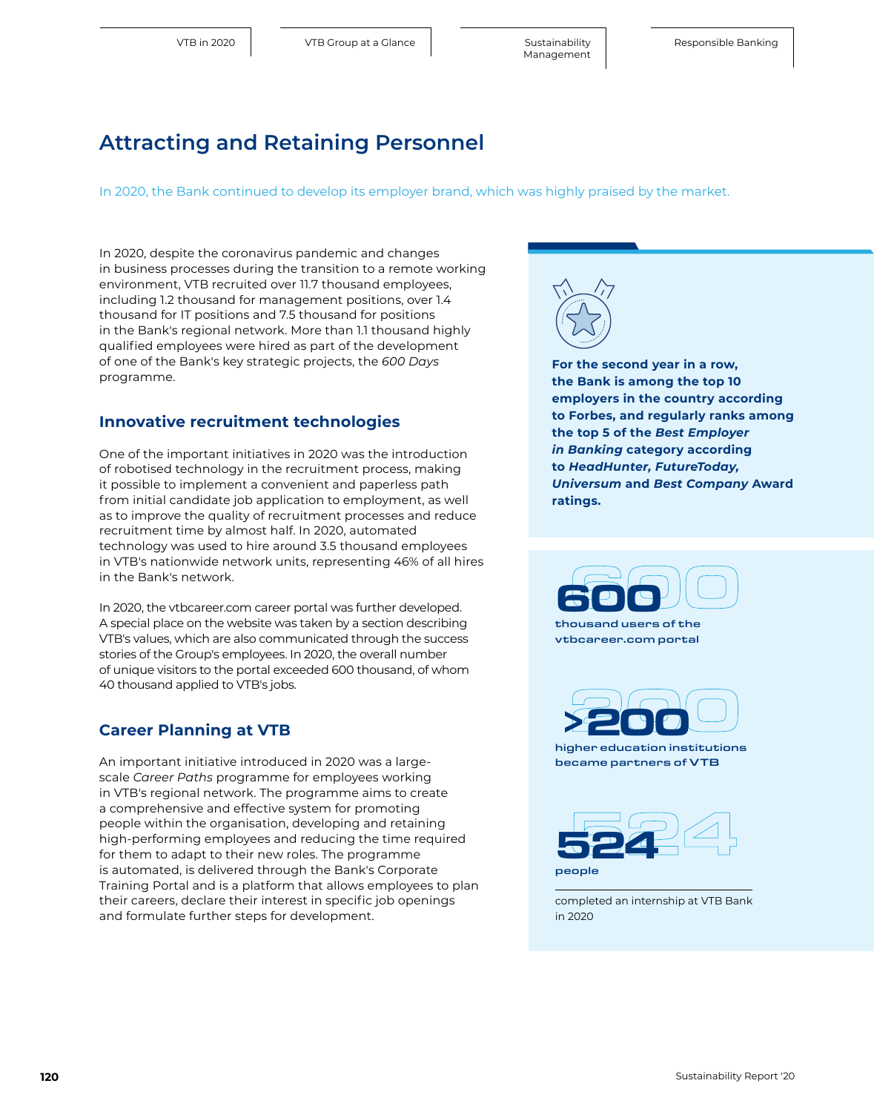## **Attracting and Retaining Personnel**

In 2020, the Bank continued to develop its employer brand, which was highly praised by the market.

In 2020, despite the coronavirus pandemic and changes in business processes during the transition to a remote working environment, VTB recruited over 11.7 thousand employees, including 1.2 thousand for management positions, over 1.4 thousand for IT positions and 7.5 thousand for positions in the Bank's regional network. More than 1.1 thousand highly qualified employees were hired as part of the development of one of the Bank's key strategic projects, the *600 Days* programme.

#### **Innovative recruitment technologies**

One of the important initiatives in 2020 was the introduction of robotised technology in the recruitment process, making it possible to implement a convenient and paperless path from initial candidate job application to employment, as well as to improve the quality of recruitment processes and reduce recruitment time by almost half. In 2020, automated technology was used to hire around 3.5 thousand employees in VTB's nationwide network units, representing 46% of all hires in the Bank's network.

In 2020, the [vtbcareer.com](http://vtbcareer.com) career portal was further developed. A special place on the website was taken by a section describing VTB's values, which are also communicated through the success stories of the Group's employees. In 2020, the overall number of unique visitors to the portal exceeded 600 thousand, of whom 40 thousand applied to VTB's jobs.

#### **Career Planning at VTB**

An important initiative introduced in 2020 was a largescale *Career Paths* programme for employees working in VTB's regional network. The programme aims to create a comprehensive and effective system for promoting people within the organisation, developing and retaining high-performing employees and reducing the time required for them to adapt to their new roles. The programme is automated, is delivered through the Bank's Corporate Training Portal and is a platform that allows employees to plan their careers, declare their interest in specific job openings and formulate further steps for development.



**For the second year in a row, the Bank is among the top 10 employers in the country according to Forbes, and regularly ranks among the top 5 of the** *Best Employer in Banking* **category according to** *HeadHunter, FutureToday, Universum* **and** *Best Company* **Award ratings.**



thousand users of the [vtbcareer.com portal](http://vtbcareer.com)





сompleted an internship at VTB Bank in 2020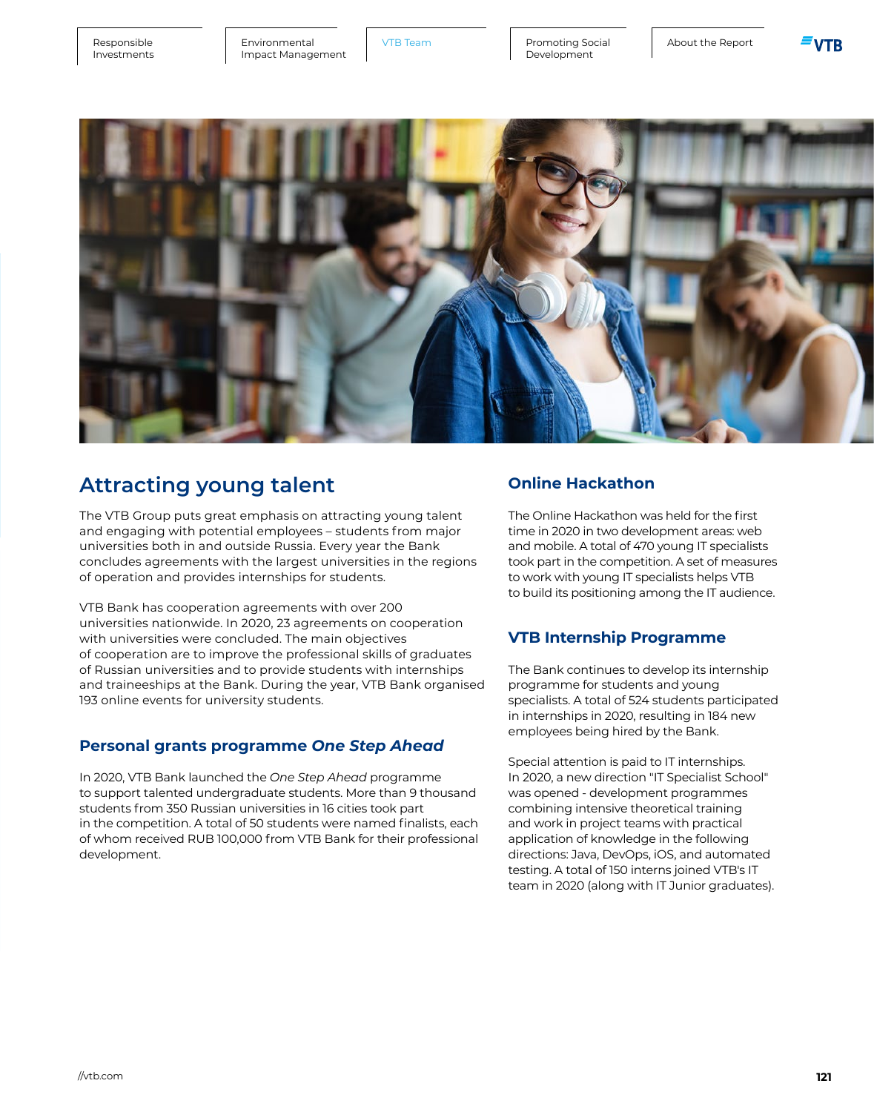[Environmental](#page--1-0) VTB Team Impact Management

Promoting Social | About the Report Development





# **Attracting young talent**

The VTB Group puts great emphasis on attracting young talent and engaging with potential employees – students from major universities both in and outside Russia. Every year the Bank concludes agreements with the largest universities in the regions of operation and provides internships for students.

VTB Bank has cooperation agreements with over 200 universities nationwide. In 2020, 23 agreements on cooperation with universities were concluded. The main objectives of cooperation are to improve the professional skills of graduates of Russian universities and to provide students with internships and traineeships at the Bank. During the year, VTB Bank organised 193 online events for university students.

### **Personal grants programme** *One Step Ahead*

In 2020, VTB Bank launched the *One Step Ahead* programme to support talented undergraduate students. More than 9 thousand students from 350 Russian universities in 16 cities took part in the competition. A total of 50 students were named finalists, each of whom received RUB 100,000 from VTB Bank for their professional development.

#### **Online Hackathon**

The Online Hackathon was held for the first time in 2020 in two development areas: web and mobile. A total of 470 young IT specialists took part in the competition. A set of measures to work with young IT specialists helps VTB to build its positioning among the IT audience.

### **VTB Internship Programme**

The Bank continues to develop its internship programme for students and young specialists. A total of 524 students participated in internships in 2020, resulting in 184 new employees being hired by the Bank.

Special attention is paid to IT internships. In 2020, a new direction "IT Specialist School" was opened - development programmes combining intensive theoretical training and work in project teams with practical application of knowledge in the following directions: Java, DevOps, iOS, and automated testing. A total of 150 interns joined VTB's IT team in 2020 (along with IT Junior graduates).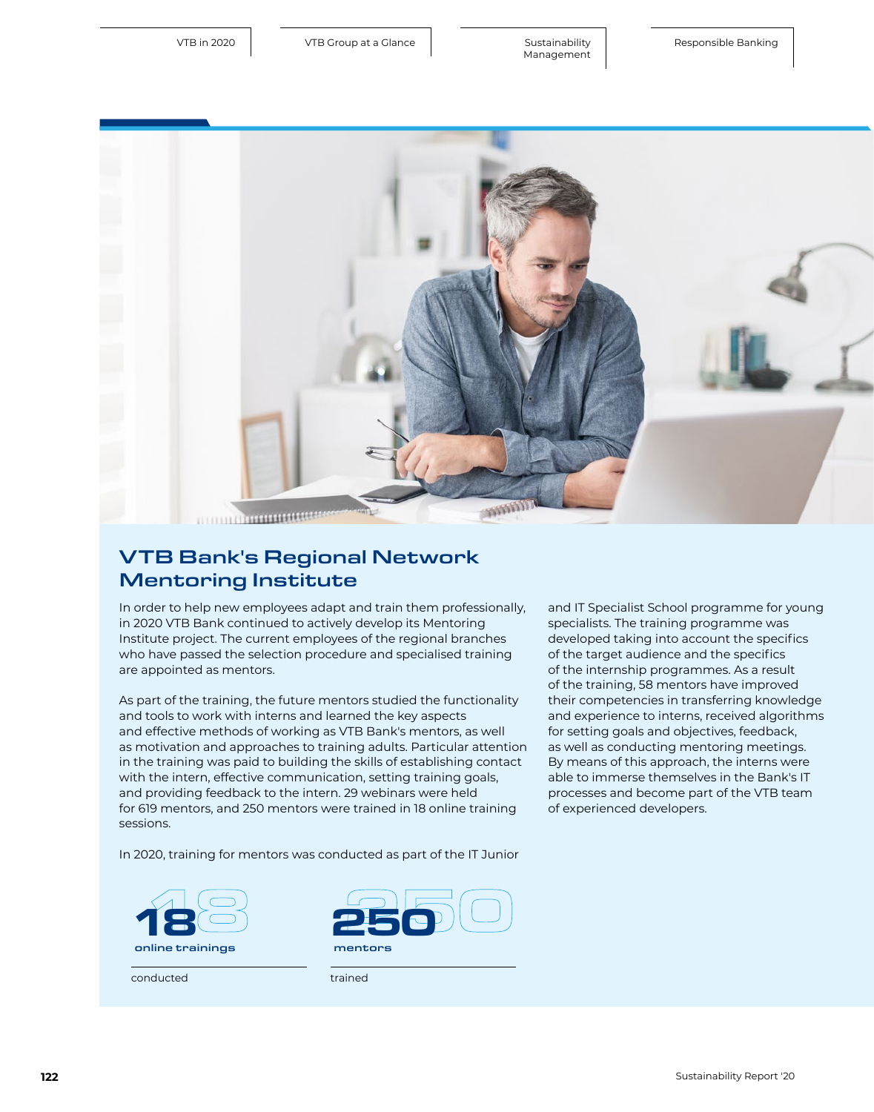

[Sustainability](#page--1-0)  Management

## VTB Bank's Regional Network Mentoring Institute

In order to help new employees adapt and train them professionally, in 2020 VTB Bank continued to actively develop its Mentoring Institute project. The current employees of the regional branches who have passed the selection procedure and specialised training are appointed as mentors.

As part of the training, the future mentors studied the functionality and tools to work with interns and learned the key aspects and effective methods of working as VTB Bank's mentors, as well as motivation and approaches to training adults. Particular attention in the training was paid to building the skills of establishing contact with the intern, effective communication, setting training goals, and providing feedback to the intern. 29 webinars were held for 619 mentors, and 250 mentors were trained in 18 online training sessions.

and IT Specialist School programme for young specialists. The training programme was developed taking into account the specifics of the target audience and the specifics of the internship programmes. As a result of the training, 58 mentors have improved their competencies in transferring knowledge and experience to interns, received algorithms for setting goals and objectives, feedback, as well as conducting mentoring meetings. By means of this approach, the interns were able to immerse themselves in the Bank's IT processes and become part of the VTB team of experienced developers.

In 2020, training for mentors was conducted as part of the IT Junior





trained